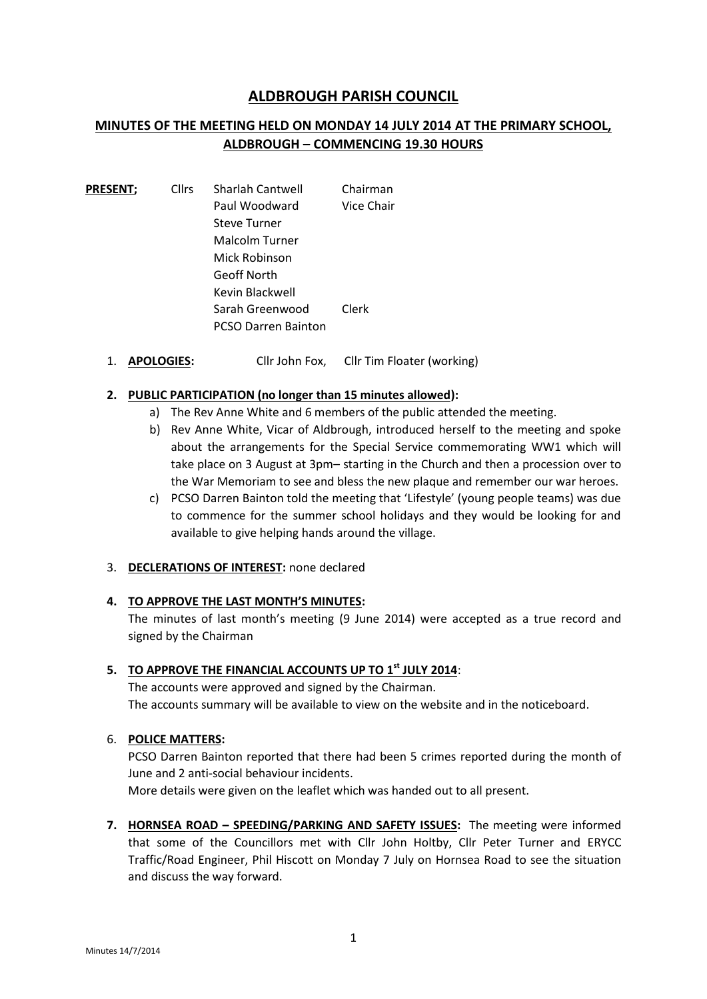# **ALDBROUGH PARISH COUNCIL**

# **MINUTES OF THE MEETING HELD ON MONDAY 14 JULY 2014 AT THE PRIMARY SCHOOL, ALDBROUGH – COMMENCING 19.30 HOURS**

| <b>PRESENT;</b> | <b>Cllrs</b> | <b>Sharlah Cantwell</b>    | Chairman   |
|-----------------|--------------|----------------------------|------------|
|                 |              | Paul Woodward              | Vice Chair |
|                 |              | <b>Steve Turner</b>        |            |
|                 |              | Malcolm Turner             |            |
|                 |              | Mick Robinson              |            |
|                 |              | Geoff North                |            |
|                 |              | Kevin Blackwell            |            |
|                 |              | Sarah Greenwood            | Clerk      |
|                 |              | <b>PCSO Darren Bainton</b> |            |

1. **APOLOGIES:** Cllr John Fox, Cllr Tim Floater (working)

# **2. PUBLIC PARTICIPATION (no longer than 15 minutes allowed):**

- a) The Rev Anne White and 6 members of the public attended the meeting.
- b) Rev Anne White, Vicar of Aldbrough, introduced herself to the meeting and spoke about the arrangements for the Special Service commemorating WW1 which will take place on 3 August at 3pm– starting in the Church and then a procession over to the War Memoriam to see and bless the new plaque and remember our war heroes.
- c) PCSO Darren Bainton told the meeting that 'Lifestyle' (young people teams) was due to commence for the summer school holidays and they would be looking for and available to give helping hands around the village.

# 3. **DECLERATIONS OF INTEREST:** none declared

# **4. TO APPROVE THE LAST MONTH'S MINUTES:**

The minutes of last month's meeting (9 June 2014) were accepted as a true record and signed by the Chairman

# **5. TO APPROVE THE FINANCIAL ACCOUNTS UP TO 1 st JULY 2014**:

The accounts were approved and signed by the Chairman. The accounts summary will be available to view on the website and in the noticeboard.

# 6. **POLICE MATTERS:**

PCSO Darren Bainton reported that there had been 5 crimes reported during the month of June and 2 anti-social behaviour incidents.

More details were given on the leaflet which was handed out to all present.

**7. HORNSEA ROAD – SPEEDING/PARKING AND SAFETY ISSUES:** The meeting were informed that some of the Councillors met with Cllr John Holtby, Cllr Peter Turner and ERYCC Traffic/Road Engineer, Phil Hiscott on Monday 7 July on Hornsea Road to see the situation and discuss the way forward.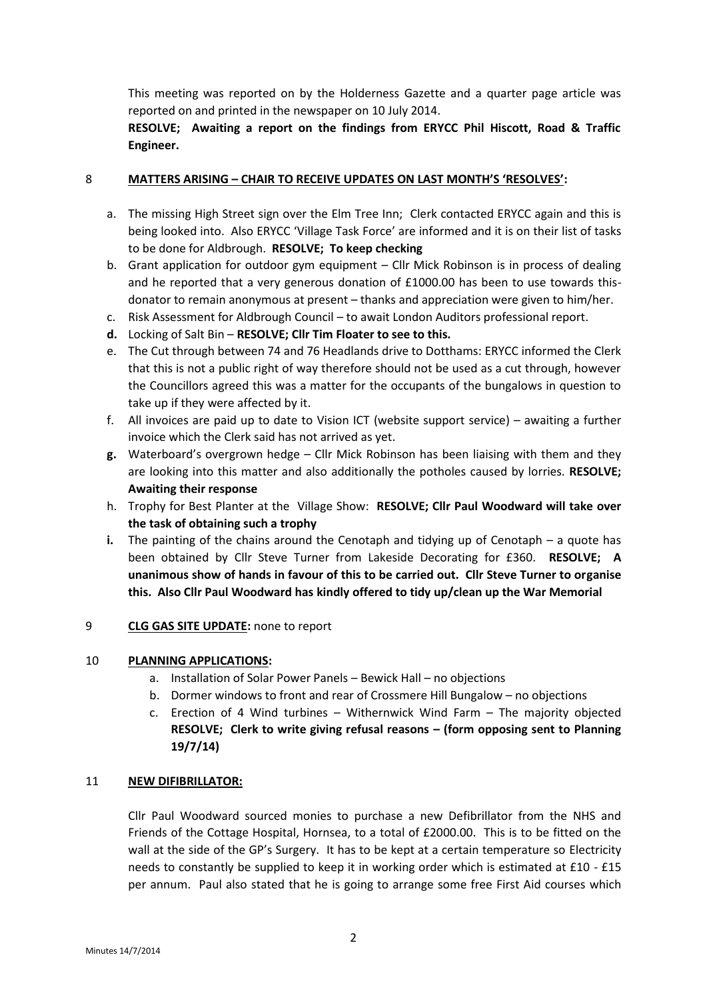This meeting was reported on by the Holderness Gazette and a quarter page article was reported on and printed in the newspaper on 10 July 2014.

# **RESOLVE; Awaiting a report on the findings from ERYCC Phil Hiscott, Road & Traffic Engineer.**

# 8 **MATTERS ARISING – CHAIR TO RECEIVE UPDATES ON LAST MONTH'S 'RESOLVES':**

- a. The missing High Street sign over the Elm Tree Inn; Clerk contacted ERYCC again and this is being looked into. Also ERYCC 'Village Task Force' are informed and it is on their list of tasks to be done for Aldbrough. **RESOLVE; To keep checking**
- b. Grant application for outdoor gym equipment Cllr Mick Robinson is in process of dealing and he reported that a very generous donation of £1000.00 has been to use towards this donator to remain anonymous at present – thanks and appreciation were given to him/her.
- c. Risk Assessment for Aldbrough Council to await London Auditors professional report.
- **d.** Locking of Salt Bin **RESOLVE; Cllr Tim Floater to see to this.**
- e. The Cut through between 74 and 76 Headlands drive to Dotthams: ERYCC informed the Clerk that this is not a public right of way therefore should not be used as a cut through, however the Councillors agreed this was a matter for the occupants of the bungalows in question to take up if they were affected by it.
- f. All invoices are paid up to date to Vision ICT (website support service) awaiting a further invoice which the Clerk said has not arrived as yet.
- **g.** Waterboard's overgrown hedge Cllr Mick Robinson has been liaising with them and they are looking into this matter and also additionally the potholes caused by lorries. **RESOLVE; Awaiting their response**
- h. Trophy for Best Planter at the Village Show: **RESOLVE; Cllr Paul Woodward will take over the task of obtaining such a trophy**
- **i.** The painting of the chains around the Cenotaph and tidying up of Cenotaph a quote has been obtained by Cllr Steve Turner from Lakeside Decorating for £360. **RESOLVE; A unanimous show of hands in favour of this to be carried out. Cllr Steve Turner to organise this. Also Cllr Paul Woodward has kindly offered to tidy up/clean up the War Memorial**

# 9 **CLG GAS SITE UPDATE:** none to report

# 10 **PLANNING APPLICATIONS:**

- a. Installation of Solar Power Panels Bewick Hall no objections
- b. Dormer windows to front and rear of Crossmere Hill Bungalow no objections
- c. Erection of 4 Wind turbines Withernwick Wind Farm The majority objected **RESOLVE; Clerk to write giving refusal reasons – (form opposing sent to Planning 19/7/14)**

# 11 **NEW DIFIBRILLATOR:**

Cllr Paul Woodward sourced monies to purchase a new Defibrillator from the NHS and Friends of the Cottage Hospital, Hornsea, to a total of £2000.00. This is to be fitted on the wall at the side of the GP's Surgery. It has to be kept at a certain temperature so Electricity needs to constantly be supplied to keep it in working order which is estimated at £10 - £15 per annum. Paul also stated that he is going to arrange some free First Aid courses which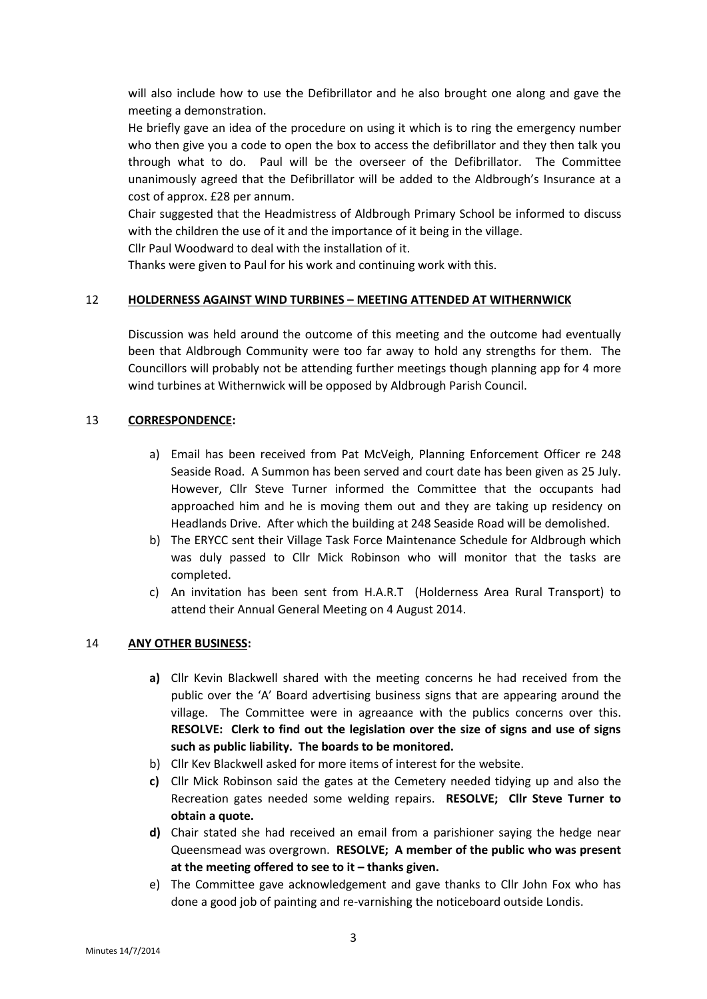will also include how to use the Defibrillator and he also brought one along and gave the meeting a demonstration.

He briefly gave an idea of the procedure on using it which is to ring the emergency number who then give you a code to open the box to access the defibrillator and they then talk you through what to do. Paul will be the overseer of the Defibrillator. The Committee unanimously agreed that the Defibrillator will be added to the Aldbrough's Insurance at a cost of approx. £28 per annum.

Chair suggested that the Headmistress of Aldbrough Primary School be informed to discuss with the children the use of it and the importance of it being in the village.

Cllr Paul Woodward to deal with the installation of it.

Thanks were given to Paul for his work and continuing work with this.

# 12 **HOLDERNESS AGAINST WIND TURBINES – MEETING ATTENDED AT WITHERNWICK**

Discussion was held around the outcome of this meeting and the outcome had eventually been that Aldbrough Community were too far away to hold any strengths for them. The Councillors will probably not be attending further meetings though planning app for 4 more wind turbines at Withernwick will be opposed by Aldbrough Parish Council.

# 13 **CORRESPONDENCE:**

- a) Email has been received from Pat McVeigh, Planning Enforcement Officer re 248 Seaside Road. A Summon has been served and court date has been given as 25 July. However, Cllr Steve Turner informed the Committee that the occupants had approached him and he is moving them out and they are taking up residency on Headlands Drive. After which the building at 248 Seaside Road will be demolished.
- b) The ERYCC sent their Village Task Force Maintenance Schedule for Aldbrough which was duly passed to Cllr Mick Robinson who will monitor that the tasks are completed.
- c) An invitation has been sent from H.A.R.T (Holderness Area Rural Transport) to attend their Annual General Meeting on 4 August 2014.

# 14 **ANY OTHER BUSINESS:**

- **a)** Cllr Kevin Blackwell shared with the meeting concerns he had received from the public over the 'A' Board advertising business signs that are appearing around the village. The Committee were in agreaance with the publics concerns over this. **RESOLVE: Clerk to find out the legislation over the size of signs and use of signs such as public liability. The boards to be monitored.**
- b) Cllr Kev Blackwell asked for more items of interest for the website.
- **c)** Cllr Mick Robinson said the gates at the Cemetery needed tidying up and also the Recreation gates needed some welding repairs. **RESOLVE; Cllr Steve Turner to obtain a quote.**
- **d)** Chair stated she had received an email from a parishioner saying the hedge near Queensmead was overgrown. **RESOLVE; A member of the public who was present at the meeting offered to see to it – thanks given.**
- e) The Committee gave acknowledgement and gave thanks to Cllr John Fox who has done a good job of painting and re-varnishing the noticeboard outside Londis.